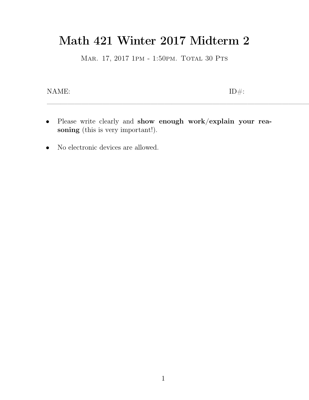## Math 421 Winter 2017 Midterm 2<br>MAR. 17, 2017 1PM - 1:50PM. TOTAL 30 PTS Math 421 Winter 2017 Midterm 2<br>MAR. 17, 2017 1PM - 1:50PM. TOTAL 30 PTS

MAR. 17, 2017<br> 1<br/>PM - 1:50PM. TOTAL 30 PTS  $\mbox{ID}\# \mbox{:}$ 

- $\begin{tabular}{ll} \bf{NAME:} & \tt ID\#: \\ \begin{tabular}{ll} \bf{P} \emph{lease write clearly and show enough work}/explain your reasoning (this is very important!). \end{tabular} \end{tabular}$ ME:<br>**Please** write clearly and **show eno**<br>**soning** (this is very important!). • Please write clearly and show enousoning (this is very important!).<br>• No electronic devices are allowed.
-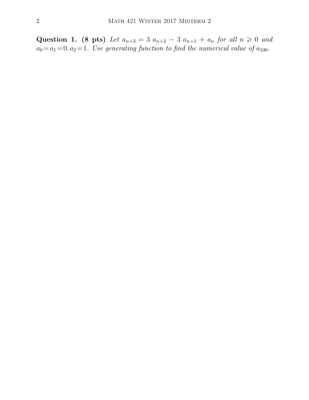Question 1. (8 pts) Let  $a_{n+3} = 3$   $a_{n+2} - 3$   $a_{n+1} + a_n$  for all  $n \ge 0$  and  $a_0 = a_1 = 0, a_2 = 1$ . Use generating function to find the numerical value of  $a_{100}$ .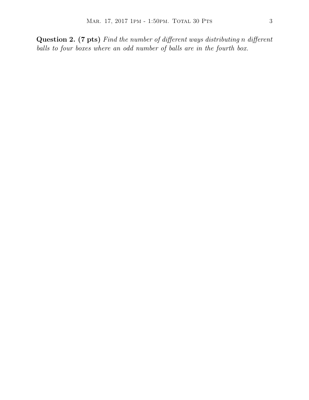MAR. 17, 2017 1PM - 1:50PM. TOTAL 30 PTS 3<br> **Question 2. (7 pts)** *Find the number of different ways distributing n different*<br> *balls to four boxes where an odd number of balls are in the fourth box. balls to four boxes where an odd number of different ways distributing n differe balls to four boxes where an odd number of balls are in the fourth box.*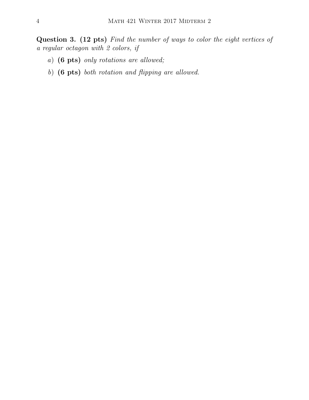**Question 3. (12 pts)** *Find the number of ways to color the eight vertices of a MATH 421 WINTER*<br> **Question 3. (12 pts)** *Find the number*<br> *a regular octagon with 2 colors, if*<br> *a*) (**6 pts)** *only rotations are allowed.* MATH 421 WINTER 2017<br> **estion 3. (12 pts)** *Find the number of wa*<br> *gaular octagon with 2 colors, if*<br> *a*) **(6 pts)** *only rotations are allowed;*<br> *b*) **(6 pts)** *both rotation and flipping are a* **estion 3. (12 pts)** *Find the number of ways to color is gular octagon with 2 colors, if*<br>a) (6 pts) *only rotations are allowed*;<br>b) (6 pts) *both rotation and flipping are allowed.* 

- 
-